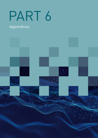# PART 6

### Appendices

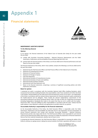## Appendix 1

#### Financial statements





#### **INDEPENDENT AUDITOR'S REPORT**

#### **To the Attorney-General**

#### **Opinion**

In my opinion, the financial statements of the Federal Court of Australia (the Entity) for the year ended 30 June 2020:

- (a) comply with Australian Accounting Standards Reduced Disclosure Requirements and the *Public Governance, Performance and Accountability (Financial Reporting) Rule 2015*; and
- (b) present fairly the financial position of the Entity as at 30 June 2020 and its financial performance and cash flows for the year then ended.

The financial statements of the Entity, which I have audited, comprise the following as at 30 June 2020 and for the year then ended:

- Statement by the Chief Executive Officer and Chief Finance Officer of the Federal Court of Australia;
- Statement of Comprehensive Income:
- Statement of Financial Position;
- Statement of Changes in Equity:
- Cash Flow Statement;
- Administered Schedule of Comprehensive Income;
- Administered Schedule of Assets and Liabilities;
- Administered Reconciliation Schedule;
- Administered Cash Flow Statement; and
- Notes to the financial statements, comprising a summary of significant accounting policies and other explanatory information.

#### **Basis for opinion**

I conducted my audit in accordance with the Australian National Audit Office Auditing Standards, which incorporate the Australian Auditing Standards. My responsibilities under those standards are further described in the *Auditor's Responsibilities for the Audit of the Financial Statements* section of my report. I am independent of the Entity in accordance with the relevant ethical requirements for financial statement audits conducted by the Auditor-General and his delegates. These include the relevant independence requirements of the Accounting Professional and Ethical Standards Board's APES 110 *Code of Ethics for Professional Accountants (including Independence Standards)* (the Code) to the extent that they are not in conflict with the *Auditor-General Act 1997*. I have also fulfilled my other responsibilities in accordance with the Code. I believe that the audit evidence I have obtained is sufficient and appropriate to provide a basis for my opinion.

#### **Accountable Authority's responsibility for the financial statements**

As the Accountable Authority of the Entity, the Chief Executive Officer is responsible under the *Public Governance, Performance and Accountability Act 2013* (the Act) for the preparation and fair presentation of annual financial statements that comply with Australian Accounting Standards – Reduced Disclosure Requirements and the rules made under the Act. The Chief Executive Officer is also responsible for such internal control as the Chief Executive Officer determines is necessary to enable the preparation of financial statements that are free from material misstatement, whether due to fraud or error.

In preparing the financial statements, the Chief Executive Officer is responsible for assessing the ability of the Entity to continue as a going concern, taking into account whether the Entity's operations will cease as a result

> GPO Box 707 CANBERRA ACT 2601 38 Sydney Avenue FORREST ACT 2603 Phone (02) 6203 7300 Fax (02) 6203 7777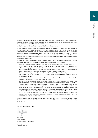of an administrative restructure or for any other reason. The Chief Executive Officer is also responsible for disclosing, as applicable, matters related to going concern and using the going concern basis of accounting unless the assessment indicates that it is not appropriate.

#### **Auditor's responsibilities for the audit of the financial statements**

My objective is to obtain reasonable assurance about whether the financial statements as a whole are free from material misstatement, whether due to fraud or error, and to issue an auditor's report that includes my opinion. Reasonable assurance is a high level of assurance, but is not a guarantee that an audit conducted in accordance with the Australian National Audit Office Auditing Standards will always detect a material misstatement when it exists. Misstatements can arise from fraud or error and are considered material if, individually or in the aggregate, they could reasonably be expected to influence the economic decisions of users taken on the basis of the financial statements.

As part of an audit in accordance with the Australian National Audit Office Auditing Standards, I exercise professional judgement and maintain professional scepticism throughout the audit. I also:

- identify and assess the risks of material misstatement of the financial statements, whether due to fraud or error, design and perform audit procedures responsive to those risks, and obtain audit evidence that is sufficient and appropriate to provide a basis for my opinion. The risk of not detecting a material misstatement resulting from fraud is higher than for one resulting from error, as fraud may involve collusion, forgery, intentional omissions, misrepresentations, or the override of internal control;
- obtain an understanding of internal control relevant to the audit in order to design audit procedures that are appropriate in the circumstances, but not for the purpose of expressing an opinion on the effectiveness of the Entity's internal control;
- evaluate the appropriateness of accounting policies used and the reasonableness of accounting estimates and related disclosures made by the Accountable Authority;
- conclude on the appropriateness of the Accountable Authority's use of the going concern basis of accounting and, based on the audit evidence obtained, whether a material uncertainty exists related to events or conditions that may cast significant doubt on the Entity's ability to continue as a going concern. If I conclude that a material uncertainty exists, I am required to draw attention in my auditor's report to the related disclosures in the financial statements or, if such disclosures are inadequate, to modify my opinion. My conclusions are based on the audit evidence obtained up to the date of my auditor's report. However, future events or conditions may cause the Entity to cease to continue as a going concern; and
- evaluate the overall presentation, structure and content of the financial statements, including the disclosures, and whether the financial statements represent the underlying transactions and events in a manner that achieves fair presentation.

I communicate with the Accountable Authority regarding, among other matters, the planned scope and timing of the audit and significant audit findings, including any significant deficiencies in internal control that I identify during my audit.

Australian National Audit Office

Colin Bienke Audit Principal Delegate of the Auditor-General Canberra 8 September 2020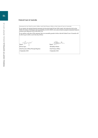#### **Federal Court of Australia**

**Statement by the Chief Executive Officer and Chief Finance Officer of the Federal Court of Australia**

In our opinion, the attached financial statements for the period ended 30 June 2020 comply with subsection 42(2) of the Public Governance, Performance and Accountability Act 2013 (PGPA Act), and are based on properly maintained financial records as per subsection 41(2) of the PGPA Act.

In our opinion, at the date of this statement, there are reasonable grounds to believe that the Federal Court of Australia will be able to pay its debts as and when they fall due.

Signed Signed Signed

Chief Executive Officer/Principal Registrar Chief Finance Officer 8 September 20208 September 2020

Cttut

Ms Sia Lagos Ms Kathryn Hunter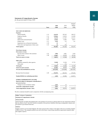#### **Statement of Comprehensive Income**

*for the period ended 30 June 2020*

|                                                     |              |              |              | Original      |
|-----------------------------------------------------|--------------|--------------|--------------|---------------|
|                                                     |              | 2020         | 2019         | <b>Budget</b> |
|                                                     | <b>Notes</b> | \$'000       | \$'000       | \$'000        |
| <b>NET COST OF SERVICES</b>                         |              |              |              |               |
| <b>Expenses</b>                                     |              |              |              |               |
| Judicial benefits                                   | 11A          | 110,159      | 105,165      | 106,512       |
| Employee benefits                                   | 1.1A         | 118,666      | 118,034      | 116,450       |
| Suppliers                                           | 11B          | 92,470       | 117,297      | 123,511       |
| Depreciation and amortisation                       | 3.2A         | 29,955       | 13,882       | 14,871        |
| Finance costs                                       | 1.1C         | 2,195        | 313          | 331           |
| Impairment loss on financial instruments            | 1.1D         | 22           | $\mathbf{1}$ |               |
| Write-down and impairment of other assets           | 1.1E         | 14           | 576          |               |
| <b>Total expenses</b>                               |              | 353,481      | 355,268      | 361,675       |
| <b>Own-Source income</b>                            |              |              |              |               |
| <b>Own-source revenue</b>                           |              |              |              |               |
| Revenue from contracts with customers               | 1.2A         | 2,904        | 4,081        | 3,939         |
| Other revenue                                       | 1.2B         | 43,607       | 42,939       | 42,765        |
| Total own-source revenue                            |              | 46,511       | 47,020       | 46,704        |
| Other gains                                         |              |              |              |               |
| Liabilities assumed by other agencies               |              | 35,450       | 33,394       | 27,778        |
| Other gains                                         |              | $\mathbf{1}$ | 214          |               |
| <b>Total gains</b>                                  | 1.2C         | 35,451       | 33,608       | 27,778        |
| <b>Total own-source income</b>                      |              | 81,962       | 80,628       | 74,482        |
| Net (cost of)/contribution by services              |              | (271, 519)   | (274, 640)   | (287, 193)    |
| Revenue from Government                             | 12D          | 273,973      | 265,352      | 272,322       |
| Surplus/(Deficit) on continuing operations          |              | 2.454        | (9, 288)     | (14, 871)     |
| <b>OTHER COMPREHENSIVE INCOME</b>                   |              |              |              |               |
| Items not subject to subsequent reclassification to |              |              |              |               |
| net cost of services                                |              |              |              |               |
| Changes in asset revaluation surplus                |              | 4,107        | 57           |               |
| Total other comprehensive income                    |              | 4,107        | 57           |               |
| Total comprehensive income / (loss)                 |              | 6,561        | (9, 231)     | (14, 871)     |

The above statement should be read in conjunction with the accompanying notes.

#### **Budget Variances Commentary**

**Statement of Comprehensive Income**

#### *Judicial benefits*

Judicial benefits are higher than budgeted due to the granting of an increase to judicial salaries by the remuneration tribunal<br>that was effective from 1 July 2019, and the revaluation of accrued leave liabilities followin movements in government bond rates.

#### *Suppliers*

Supplier expenses are lower than budgeted. The major reason for this variance is the impact of the new accounting standard<br>AASB 16 Leases. This standard resulted in the costs of the Entity's leases being classified as depr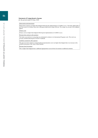#### **Statement of Comprehensive Income**

*for the period ended 30 June 2020*

#### *Depreciation and amortisation*

Depreciation expenses are higher than budgeted following the implementation of AASB16 *Leases*. The Entity added right of use lease assets to its balance sheet and a subsequent depreciation charge followed. This charge was not part of the budgeted figures.

#### *Finance costs*

Finance costs are higher than budgeted following the implementation of AASB16 *Leases.*

*Revenue from contracts with customers*

The Entity received lower revenue than was anticipated in relation to its International Programs work. This work was severely curtailed following the COVID-19 outbreak.

*Liabilities assumed by other agencies*

The gain received in relation to notional judicial superannuation costs was higher than budgeted due to an increase in the actuarial assessment of the value of these benefits.

*Revenue from Government*

This is higher than budgeted due to additional appropriation received from Government at additional estimates.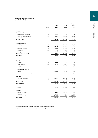#### **Statement of Financial Position**

*as at 30 June 2020*

|                                           |              |          |           | Original |
|-------------------------------------------|--------------|----------|-----------|----------|
|                                           |              | 2020     | 2019      | Budget   |
|                                           | <b>Notes</b> | \$'000   | \$'000    | \$'000   |
|                                           |              |          |           |          |
| <b>ASSETS</b>                             |              |          |           |          |
| <b>Financial assets</b>                   |              |          |           |          |
| Cash and cash equivalents                 | 3.1A         | 1,239    | 1,237     | 1,353    |
| Trade and other receivables               | 3.1B         | 116,393  | 90,552    | 67,396   |
| Accrued revenue                           |              |          | 8         | 14       |
| <b>Total financial assets</b>             |              | 117,632  | 91,797    | 68,763   |
| Non-financial assets <sup>1</sup>         |              |          |           |          |
| <b>Buildings</b>                          | 3.2A         | 182,130  | 33,318    | 47,503   |
| Plant and equipment                       | 3 2 A        | 23,103   | 14,781    | 10,675   |
| Computer software                         | 3.2A         | 11,832   | 11,397    | 20,721   |
| Inventories                               | 3.2B         | 36       | 39        | 39       |
| Prepayments                               |              | 1,939    | 1,767     | 3,383    |
| <b>Total non-financial assets</b>         |              | 219,040  | 61,302    | 82,321   |
| <b>Total assets</b>                       |              | 336,672  | 153,099   | 151,084  |
| <b>LIABILITIES</b>                        |              |          |           |          |
| Payables                                  |              |          |           |          |
| Suppliers                                 | 3.3A         | 4,681    | 7,911     | 7,925    |
| Other payables                            | 3.3B         | 3,733    | 2,437     | 2,268    |
| <b>Total payables</b>                     |              | 8,414    | 10,348    | 10,193   |
| <b>Interest bearing liabilities</b>       |              |          |           |          |
| Leases                                    | 3.4A         | 151,019  | 2,574     | 1,756    |
| <b>Total interest bearing liabilities</b> |              | 151,019  | 2,574     | 1,756    |
| <b>Provisions</b>                         |              |          |           |          |
| Employee provisions                       | 6.1A         | 66,903   | 62,390    | 59,915   |
| Other provisions                          | 3.5A         | 4,780    | 4,065     | 1,991    |
| <b>Total provisions</b>                   |              | 71,683   | 66,455    | 61,906   |
| <b>Total liabilities</b>                  |              | 231,116  | 79,377    | 73,855   |
| Net assets                                |              | 105,556  | 73,722    | 77,229   |
|                                           |              |          |           |          |
| <b>EQUITY</b>                             |              |          |           |          |
| Contributed equity                        |              | 119,508  | 95,527    | 119,630  |
| Reserves                                  |              | 12,844   | 8,737     | 8,680    |
| Accumulated deficit                       |              | (26,796) | (30, 542) | (51,081) |
| <b>Total equity</b>                       |              | 105,556  | 73,722    | 77,229   |

The above statement should be read in conjunction with the accompanying notes. 1. Right-of-use assets are included in Buildings, Plant and Equipment.

Appendices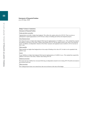#### **Statement of Financial Position**

*as at 30 June 2020*

#### **Budget Variances Commentary**

#### **Statement of Financial Position**

*Trade and other receivables*

Appropriation receivable is higher than budgeted. This reflects the surplus achieved in 2019-20. There was also an underspend of capital appropriation in 2019-20 due to delays in building and software development projects.

#### *Non-Financial Assets*

Non financial assets are higher than budgeted following the implementation of AASB16 *Leases*. This standard has required the addition of all leases to the Entity's balance sheet during 2019-20. This has added \$166m to the value of non-financial assets. In addition, an independent valuation of the Entity's property and equipment assets resulted in a \$4.1m increase in their value.

#### *Other payables*

Other payables are higher than budgeted due to the receipt of funding to the value of \$1.1m that is to be expended in the 2020-21 year.

#### *Leases*

Lease liabilities are higher than budgeted following the implementation of AASB16 *Leases*. This standard has required the addition of all leases to the Entity's balance sheet during 2019-20.

#### *Employee provisions*

Provisions for leave liability have increased following an independent actuarial review during 2019-20 and the movement in government bond rates.

*Other provisions*

New makegood provisions were entered into, that were not known at the time of the budget.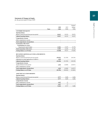#### **Statement of Changes in Equity**

*for the period ended 30 June 2020*

|                                              |              |                          |           | Original  |
|----------------------------------------------|--------------|--------------------------|-----------|-----------|
|                                              |              | 2020                     | 2019      | Budget    |
|                                              | <b>Notes</b> | \$'000                   | \$'000    | \$'000    |
| <b>CONTRIBUTED EQUITY</b>                    |              |                          |           |           |
| <b>Opening balance</b>                       |              |                          |           |           |
| Balance carried forward from previous period |              | 95,527                   | 83,232    | 95,872    |
| <b>Adjusted opening balance</b>              |              | 95,527                   | 83.232    | 95,872    |
| <b>Comprehensive income</b>                  |              |                          |           |           |
| Other comprehensive income                   |              |                          |           |           |
| Total comprehensive income/(loss)            |              | $\overline{\phantom{a}}$ |           |           |
| <b>Transactions with owners</b>              |              |                          |           |           |
| <b>Contributions by owners</b>               |              |                          |           |           |
| Departmental capital budget                  |              | 23,981                   | 12,295    | 23,758    |
| <b>Total transactions with owners</b>        |              | 23,981                   | 12,295    | 23,758    |
| Closing balance as at 30 June                |              | 119,508                  | 95,527    | 119,630   |
|                                              |              |                          |           |           |
| RETAINED EARNINGS/(ACCUMULATED DEFICIT)      |              |                          |           |           |
| <b>Opening balance</b>                       |              |                          |           |           |
| Balance carried forward from previous period |              | (30,542)                 | (21, 254) | (36,210)  |
| Adjustment on initial application of AASB 16 |              | 1,292                    |           |           |
| <b>Adjusted opening balance</b>              |              | (29, 250)                | (21, 254) | (36,210)  |
| <b>Comprehensive income</b>                  |              |                          |           |           |
| Surplus/(Deficit) for the period             |              | 2,454                    | (9,288)   | (14, 871) |
| Other comprehensive income                   |              |                          |           |           |
| Total comprehensive income/(loss)            |              | 2.454                    | (9, 288)  | (14, 871) |
| Closing balance as at 30 June                |              | (26,796)                 | (30, 542) | (51,081)  |
|                                              |              |                          |           |           |
| <b>ASSET REVALUATION RESERVE</b>             |              |                          |           |           |
| <b>Opening balance</b>                       |              |                          |           |           |
| Balance carried forward from previous period |              | 8,737                    | 8,680     | 8,680     |
| <b>Adjusted opening balance</b>              |              | 8.737                    | 8.680     | 8,680     |
| <b>Comprehensive income</b>                  |              |                          |           |           |
| Other comprehensive income                   |              | 4,107                    | 57        |           |
| Total comprehensive income/(loss)            |              | 4.107                    | 57        |           |
| Closing balance as at 30 June                |              | 12.844                   | 8,737     | 8.680     |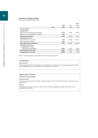#### **Statement of Changes in Equity**

*for the period ended 30 June 2020*

|                                              |              |         |          | Original  |
|----------------------------------------------|--------------|---------|----------|-----------|
|                                              |              | 2020    | 2019     | Budget    |
|                                              | <b>Notes</b> | \$'000  | \$'000   | \$'000    |
| <b>TOTAL EQUITY</b>                          |              |         |          |           |
| <b>Opening balance</b>                       |              |         |          |           |
| Balance carried forward from previous period |              | 73,722  | 70,658   | 68,342    |
| Adjustment on initial application of AASB 16 |              | 1,292   | -        |           |
| <b>Adjusted opening balance</b>              |              | 75,014  | 70,658   | 68,342    |
| Comprehensive income                         |              |         |          |           |
| Surplus/(Deficit) for the period             |              | 2.454   | (9, 288) | (14, 871) |
| Other comprehensive income                   |              | 4.107   | 57       |           |
| Total comprehensive income/(loss)            |              | 6,561   | (9,231)  | (14, 871) |
| <b>Transactions with owners</b>              |              |         |          |           |
| <b>Contributions by owners</b>               |              |         |          |           |
| Departmental capital budget                  |              | 23.981  | 12,295   | 23,758    |
| <b>Total transactions with owners</b>        |              | 23,981  | 12,295   | 23,758    |
| Closing balance as at 30 June                |              | 105.556 | 73,722   | 77,229    |

The above statement should be read in conjunction with the accompanying notes.

#### **Accounting Policy**

*Equity Injections*

Amounts appropriated which are designated as 'equity injections' for a year (less any formal reductions) and Departmental Capital Budgets (DCBs) are recognised directly in contributed equity in that year.

#### **Budget Variances Commentary**

**Statement of Changes in Equity**

#### *Accumulated deficit*

The improved financial results of the Entity compared to budget in 2018-19 and 2019-20 have led to a better than forecast equity position.

#### *Reserves*

There has been an increase to the asset revaluation reserve following an independent valuation of the Entity's assets undertaken during 2019-20.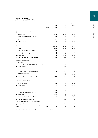#### **Cash Flow Statement**

*for the period ended 30 June 2020*

|                                                       |              |              |                | Original      |
|-------------------------------------------------------|--------------|--------------|----------------|---------------|
|                                                       |              | 2020         | 2019           | <b>Budget</b> |
|                                                       | <b>Notes</b> | \$'000       | \$'000         | \$'000        |
| <b>OPERATING ACTIVITIES</b>                           |              |              |                |               |
| <b>Cash received</b>                                  |              |              |                |               |
| Appropriations                                        |              | 258,262      | 261,991        | 273,018       |
| Sales of goods and rendering of services              |              | 3,806        | 4,067          | 3,939         |
| GST received                                          |              | 8,448        | 7,469          |               |
| Other                                                 |              | 266          | 382            |               |
| <b>Total cash received</b>                            |              | 270,782      | 273,909        | 276,957       |
| Cash used                                             |              |              |                |               |
| Employees                                             |              | 188,727      | 187,134        | 195,184       |
| Suppliers                                             |              | 59,655       | 82,334         | 80,997        |
| Interest payments on lease liabilities                |              | 1,860        |                |               |
| Borrowing costs                                       |              | 23           | 64             | 80            |
| Section 74 receipts transferred to OPA                |              | 3,434        | 4,706          |               |
| Total cash used                                       |              | 253,699      | 274,238        | 276,261       |
| Net cash from/(used by) operating activities          |              | 17,083       | (329)          | 696           |
| <b>INVESTING ACTIVITIES</b>                           |              |              |                |               |
| <b>Cash received</b>                                  |              |              |                |               |
| Proceeds from sales of property, plant and equipment  |              | $\mathbf{1}$ | 214            |               |
| <b>Total cash received</b>                            |              | $\mathbf{1}$ | 214            |               |
| <b>Cash used</b>                                      |              |              |                |               |
| Purchase of property, plant and equipment             |              | 11,581       | 4,413          | 22,916        |
| Purchase of intangibles                               |              | 3,496        | 3,653          |               |
| <b>Total cash used</b>                                |              | 15,077       | 8,066          | 22,916        |
| Net cash from/(used by) investing activities          |              | (15,076)     | (7, 852)       | (22,916)      |
| <b>FINANCING ACTIVITIES</b>                           |              |              |                |               |
| Cash received                                         |              |              |                |               |
| Contributed equity                                    |              | 15,926       | 8,769          | 23,758        |
| <b>Total cash received</b>                            |              | 15,926       | 8,769          | 23,758        |
| <b>Cash used</b>                                      |              |              |                |               |
| Repayment of borrowings                               |              | 849          | 704            | 992           |
| Principal payments of lease liabilities               |              | 17,082       | $\overline{a}$ |               |
| <b>Total cash used</b>                                |              | 17,931       | 704            | 992           |
| Net Cash from/(used by) financing activities          |              | (2,005)      | 8,065          | 22,766        |
| Net increase / (decrease) in cash held                |              | $\mathbf{2}$ | (116)          | 546           |
| Cash and cash equivalents at the beginning of the     |              |              |                |               |
| reporting period                                      |              | 1,237        | 1,353          | 807           |
| Cash and cash equivalents at the end of the reporting |              |              |                |               |
| period                                                | 3.1A         | 1,239        | 1,237          | 1,353         |

The above statement should be read in conjunction with the accompanying notes.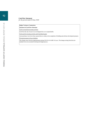#### **Cash Flow Statement**

*for the period ended 30 June 2020*

**Budget Variances Commentary**

**Statement of Cash Flow Statement**

*Cash received from investing activities*

Cash from the sale of assets was not budgeted for as it is unpredictable.

*Cash used for investing activities and Contributed equity*

Asset purchases were lower than expected due to a delay in the completion of building and software development projects.

*Principal payments of lease liabilities*

This change arises from the implementation during 2019-20 of AASB 16 *Leases*. The changes arising from this new standard were not accounted for during the budget process.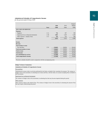#### **Administered Schedule of Comprehensive Income**

*for the period ended 30 June 2020*

|                                          |              |         |        | Original |
|------------------------------------------|--------------|---------|--------|----------|
|                                          |              | 2020    | 2019   | Budget   |
|                                          | <b>Notes</b> | \$'000  | \$'000 | \$'000   |
| <b>NET COST OF SERVICES</b>              |              |         |        |          |
| <b>Expenses</b>                          |              |         |        |          |
| Suppliers                                | 2.1A         | 726     | 807    | 880      |
| Impairment loss on financial instruments | 2.1B         | 3,802   | 3,289  | 3,200    |
| Other expenses - refunds of fees         | 2.1C         | 346     | 918    | 900      |
| <b>Total expenses</b>                    |              | 4,874   | 5,014  | 4,980    |
|                                          |              |         |        |          |
| Income                                   |              |         |        |          |
| Revenue                                  |              |         |        |          |
| <b>Non-taxation revenue</b>              |              |         |        |          |
| Fees and fines                           | 2.2A         | 118,842 | 89,034 | 83,419   |
| <b>Total non-taxation revenue</b>        |              | 118,842 | 89,034 | 83,419   |
| <b>Total revenue</b>                     |              | 118,842 | 89,034 | 83,419   |
| <b>Total income</b>                      |              | 118,842 | 89,034 | 83,419   |
| Net contribution by services             |              | 113,968 | 84,020 | 78,439   |
| Total comprehensive income               |              | 113,968 | 84,020 | 78,439   |
|                                          |              |         |        |          |

The above schedule should be read in conjunction with the accompanying notes.

#### **Budget Variances Commentary**

#### **Administered Schedule of Comprehensive Income**

#### *Fees and fines*

Administered revenues relate to activities performed by the Entity on behalf of the Australian Government. The variance to budget is due to the uncertainty in estimating fee revenue and fines, with the Entity on occasion receipting fines on behalf of the Government.

#### *Impairment loss on financial instruments*

The variance to budget is due to the uncertainty in estimating fees that may become impaired during the period.

#### *Other expenses*

Other expenses relates to the refund of fees. The variance to budget is due to the uncertainty in estimating the amount of fees that may require refund during the period.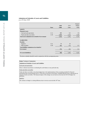#### **Administered Schedule of Assets and Liabilities**

*as at 30 June 2020*

|                                                          |              |        |        | Original      |
|----------------------------------------------------------|--------------|--------|--------|---------------|
|                                                          |              | 2020   | 2019   | <b>Budget</b> |
|                                                          | <b>Notes</b> | \$'000 | \$'000 | \$'000        |
| <b>ASSETS</b>                                            |              |        |        |               |
| <b>Financial Assets</b>                                  |              |        |        |               |
| Cash and cash equivalents                                | 4.1A         | 103    | 142    | 136           |
| Trade and other receivables                              | 4.1B         | 1,039  | 2,250  | 4,599         |
| <b>Total assets administered on behalf of Government</b> |              | 1,142  | 2,392  | 4,735         |
|                                                          |              |        |        |               |
| <b>LIABILITIES</b>                                       |              |        |        |               |
| <b>Payables</b>                                          |              |        |        |               |
| Suppliers                                                | 42A          | 31     | 89     |               |
| Other payables                                           | 4.2B         | 543    | 610    | 513           |
| Total liabilities administered on behalf of              |              |        |        |               |
| Government                                               |              | 574    | 699    | 513           |
|                                                          |              |        |        |               |
| Net assets/(liabilities)                                 |              | 568    | 1,693  | 4,222         |
|                                                          |              |        |        |               |

The above schedule should be read in conjunction with the accompanying notes.

#### **Budget Variances Commentary**

#### **Administered Schedule of Assets and Liabilities**

#### *Cash and cash equivalents*

There is inherent uncertainty in estimating the cash balance on any particular day.

*Trade and other receivables*

Trade and other receivables varies from budget due to the implementation of the accounting standard for financial<br>instruments that occurred during 2018-19. This led to an increase in the Entity's doubtful debt provision, r

*Suppliers*

The variance to budget is a timing difference due to invoices received after 30<sup>th</sup> June.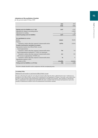#### **Administered Reconciliation Schedule**

*for the period ended 30 June 2020*

|                                                                 | 2020      | 2019      |
|-----------------------------------------------------------------|-----------|-----------|
|                                                                 | \$'000    | \$'000    |
|                                                                 |           |           |
| Opening assets less liabilities as at 1 July                    | 1,693     | 4,222     |
| Adjustment for change in accounting policies                    |           | (1, 854)  |
| Adjustments for rounding                                        |           | (1)       |
| <b>Adjusted opening assets less liabilities</b>                 | 1,693     | 2,367     |
|                                                                 |           |           |
| Net contribution by services                                    |           |           |
| Income                                                          | 118,842   | 89,034    |
| Expenses                                                        |           |           |
| Payments to entities other than corporate Commonwealth entities | (4,874)   | (5,014)   |
| <b>Transfers (to)/from the Australian Government</b>            |           |           |
| Appropriation transfers from Official Public Account            |           |           |
| Annual appropriations                                           |           |           |
| Payments to entities other than corporate Commonwealth entities | 784       | 718       |
| Special appropriations (unlimited) s77 PGPA Act repayments      |           |           |
| Payments to entities other than corporate Commonwealth entities | 353       | 923       |
| GST increase to appropriations s74 PGPA Act                     |           |           |
| Payments to entities other than corporate Commonwealth entities | 78        | 71        |
| Appropriation transfers to OPA                                  |           |           |
| Transfers to OPA                                                | (116,308) | (86, 406) |
| Closing assets less liabilities as at 30 June                   | 568       | 1,693     |
|                                                                 |           |           |

The above schedule should be read in conjunction with the accompanying notes.

#### **Accounting Policy**

*Administered cash transfers to and from the Official Public Account*

Revenue collected by the entity for use by the Government rather than the entity is administered revenue. Collections are transferred to the Official Public Account (OPA) maintained by the Department of Finance. Conversely, cash is drawn from the OPA to make payments under Parliamentary appropriation on behalf of Government. These transfers to and from the<br>OPA are adjustments to the administered cash held by the entity on behalf of the Government and reported a schedule of administered cashflows and in the administered reconciliation schedule.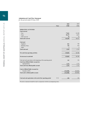#### **Administered Cash Flow Statement**

*for the period ended 30 June 2020*

|                                                                    |              | 2020      | 2019      |
|--------------------------------------------------------------------|--------------|-----------|-----------|
|                                                                    | <b>Notes</b> | \$'000    | \$'000    |
|                                                                    |              |           |           |
| <b>OPERATING ACTIVITIES</b>                                        |              |           |           |
| <b>Cash received</b>                                               |              |           |           |
| Fees                                                               |              | 77,862    | 81,509    |
| Fines                                                              |              | 38,329    | 4,833     |
| GST received                                                       |              | 78        | 70        |
| <b>Total cash received</b>                                         |              | 116,269   | 86,412    |
| <b>Cash used</b>                                                   |              |           |           |
| Suppliers                                                          |              | 862       | 789       |
| Refunds of fees                                                    |              | 346       | 918       |
| Other                                                              |              | 7         | 5         |
| <b>Total cash used</b>                                             |              | 1,215     | 1,712     |
| Net cash from operating activities                                 |              | 115,054   | 84,700    |
|                                                                    |              |           |           |
| Net increase in cash held                                          |              | 115,054   | 84,700    |
| Cash and cash equivalents at the beginning of the reporting period |              | 142       | 136       |
| <b>Cash from Official Public Account for:</b>                      |              |           |           |
| Appropriations                                                     |              | 1,215     | 1,712     |
| Total cash from official public account                            |              | 1,215     | 1,712     |
| <b>Cash to Official Public Account for:</b>                        |              |           |           |
| Transfer to OPA                                                    |              | (116,308) | (86, 406) |
| Total cash to official public account                              |              | (116,308) | (86, 406) |
|                                                                    |              |           |           |
| Cash and cash equivalents at the end of the reporting period       | 4.1A         | 103       | 142       |

The above statement should be read in conjunction with the accompanying notes.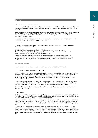97

#### **Overview**

**Objectives of the Federal Court of Australia**

The Federal Court of Australia listed entity (the Entity) is a non-corporate Commonwealth listed entity for the purposes of the *Public Governance and Accountability Act 2013* (PGPA Act). It is established under section 18ZB of the *Federal Court of Australia Act 1976* (Cth).

Appropriations made by the Federal Parliament for the purposes of the Federal Court of Australia, the Family Court of Australia and the Federal Circuit Court of Australia (all of which are courts established pursuant to Chapter III of the Commonwealth Constitution), as well as the National Native Title Tribunal, are made to the Entity, which is accountable for the financial management of those appropriations.

The objectives of the Entity include the provision of corporate services in support of the operations of the Federal Court, Family Court, Federal Circuit Court and the National Native Title Tribunal.

**The Basis of Preparation**

The financial statements are general purpose financial statements and are required by section 42 of the *Public Governance, Performance and Accountability Act 2013*.

The Financial Statements have been prepared in accordance with:

a) *Public Governance, Performance and Accountability (Financial Reporting) Rule 2015* (FRR); and

b) Australian Accounting Standards and Interpretations – Reduced Disclosure Requirements issued by the Australian Accounting Standards Board (AASB) that apply for the reporting period.

The financial statements have been prepared on an accrual basis and in accordance with the historical cost convention, except for certain assets and liabilities at fair value. Except where stated, no allowance is made for the effect of changing prices on the results or the financial position. The financial statements are presented in Australian dollars and values are rounded to the nearest thousand dollars unless otherwise specified.

**New Accounting Standards**

#### **AASB 15: Revenue from Contracts with Customers and AASB 1058 Income of not for profit entities.**

AASB 15 and AASB 1058 became effective on 1 July 2019.

AASB 15 establishes a comprehensive framework for determining whether, how much and when revenue is recognised. It replaces existing revenue recognition guidance, including AASB 118 *Revenue,* AASB 111 *Construction Contracts* and Interpretation 13 *Customer Loyalty Programmes*. The core principle of AASB 15 is that an entity recognises revenue to depict the transfer of promised goods or services to customers in an amount that reflects the consideration to which the entity expects to be entitled in exchange for those goods or services.

AASB 1058 is relevant in circumstances where AASB 15 does not apply. AASB 1058 replaces most of the not-for-profit (NFP) provisions of AASB 1004 *Contributions* and applies to transactions where the consideration to acquire an asset is significantly less than fair value principally to enable the Entity to further its objectives, and where volunteer services are received.

The introduction of these standards has been analysed by the Entity and has not led to any material adjustments to accounting policies or financial adjustments.

#### **AASB 16: Leases**

The Entity adopted AASB 16 using the modified retrospective approach, under which the cumulative effect of initial application is<br>recognised in retained earnings at 1 July 2019. Accordingly, the comparative information pre is presented as previously reported under AASB 117 and related interpretations.

AASB 16 provides for certain optional practical expedients, including those related to the initial adoption of the standard. The Entity applied the exemption not to recognise right of use assets and liabilities for leases less than 12 months of lease term remaining as of the date of initial application unless it was considered 'reasonably certain' as it has been continuously leased for several years in the past.

As a lessee, the Entity previously classified leases as operating or finance leases based on its assessment of whether the lease transferred substantially all of the risk and rewards of ownership. Under AASB 16, the Entity recognises right-of-use assets and liabilities for most leases. However, the Entity has elected not to recognise right-of-use assets and lease liabilities for some leases of low value assets based on the value of the underlying asset when new or for short-term leases with a lease term of 12 months or less unless it was considered 'reasonably certain' that the lease would continue - it has been continuously leased for several years in the past.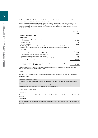On adoption of AASB 16, the Entity recognised right-of-use assets and lease liabilities in relation to leases of office space and vehicles which had previously been classified as operating leases.

The lease liabilities were measured at the present value of the remaining lease payments, discounted using the Entity's incremental borrowing rate as at 1 July 2019. The Entity's incremental borrowing rate is the rate at which a similar borrowing could be obtained from an independent creditor under comparable terms and conditions. The weighted average rate applied was 1.09%

|                                                                                                        | 1 July 2019 |
|--------------------------------------------------------------------------------------------------------|-------------|
|                                                                                                        | \$'000      |
| <b>Impact on Transition of AASB 16</b>                                                                 |             |
| Departmental                                                                                           |             |
| Right-of-use assets - property, plant and equipment                                                    | 165,939     |
| Lease liabilities                                                                                      | 165,939     |
| Retained earnings                                                                                      | 1,292       |
| Payables - Suppliers                                                                                   | (1,292)     |
| The following table reconciles the Departmental minimum lease commitments disclosed in the             |             |
| entity's 30 June 2019 annual financial statements to the amount of lease liabilities recognised on     |             |
| 1 July 2019:                                                                                           |             |
|                                                                                                        | 1 July 2019 |
| Minimum operating lease commitment at 30 June 2019                                                     | 47,371      |
| Less: short-term leases not recognised under AASB 16                                                   | (1, 429)    |
| Less: low value leases not recognised under AASB 16                                                    | (62)        |
| Plus: effect of extension options reasonably certain to be exercised <sup>1</sup>                      | 128,364     |
| <b>Undiscounted lease payments</b>                                                                     | 174,244     |
| Less: effect of discounting using the incremental borrowing rate as at the date of initial application | (8,305)     |
| Lease liabilities recognised at 1 July 2019                                                            | 165,939     |

<sup>1</sup>In the Commonwealth Law Courts Buildings, the Department of Finance as the landlord has provided greater certainty about the lease terms to enable reporting under AASB 16.

#### **Taxation**

The Federal Court of Australia is exempt from all forms of taxation except Fringe Benefits Tax (FBT) and the Goods and Services Tax (GST).

#### **Reporting of Administered activities**

Administered revenues, expenses, assets, liabilities and cash flows are disclosed in the administered schedules and related notes.

Except where otherwise stated, administered items are accounted for on the same basis and using the same policies as for departmental items, including the application of Australian Accounting Standards.

**Events after the Reporting Period**

#### **Departmental**

There were no subsequent events that had the potential to significantly affect the ongoing structure and financial activities of the Entity.

#### **Administered**

There were no subsequent events that had the potential to significantly affect the ongoing structure and financial activities of the Entity.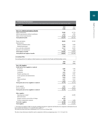| 1. Financial Performance                                                                                           |         |         |
|--------------------------------------------------------------------------------------------------------------------|---------|---------|
| This section analyses the financial performance of the Federal Court of Australia for the year ended 30 June 2020. |         |         |
| 1.1 Expenses                                                                                                       |         |         |
|                                                                                                                    | 2020    | 2019    |
|                                                                                                                    | \$'000  | \$'000  |
| Note 1.1A: Judicial and Employee Benefits                                                                          |         |         |
| Judges remuneration                                                                                                | 70,585  | 67,776  |
| Judicial superannuation defined contribution                                                                       | 4,124   | 3,996   |
| Judges notional superannuation                                                                                     | 35,450  | 33,393  |
| <b>Total judicial benefits</b>                                                                                     | 110,159 | 105,165 |
| Wages and salaries                                                                                                 | 88,004  | 83,942  |
| Superannuation                                                                                                     |         |         |
| Defined contribution plans                                                                                         | 10,375  | 9,420   |
| Defined benefit plans                                                                                              | 5,580   | 5,733   |
| Leave and other entitlements                                                                                       | 14,113  | 16,056  |
| Separation and redundancies                                                                                        | 594     | 2,883   |
| <b>Total employee benefits</b>                                                                                     | 118,666 | 118,034 |
| Total judicial and employee benefits                                                                               | 228,825 | 223,199 |
| <b>Accounting Policy</b>                                                                                           |         |         |
| Accounting policies for employee related expenses are contained in the People and Relationships section.           |         |         |
|                                                                                                                    | 2020    | 2019    |
|                                                                                                                    | \$'000  | \$'000  |
| Note 1.1B: Suppliers                                                                                               |         |         |
| Goods and services supplied or rendered                                                                            |         |         |
| IT services                                                                                                        | 6,883   | 7,456   |
| Consultants                                                                                                        | 795     | 437     |
| Contractors                                                                                                        | 1,031   | 2,378   |
| Property operating costs                                                                                           | 9,635   | 9,901   |
| Courts operation and administration                                                                                | 12,980  | 13,723  |
| Travel                                                                                                             | 5,625   | 8,410   |
| Library purchases                                                                                                  | 4,357   | 4,312   |
| Other                                                                                                              | 6,463   | 7,097   |
| Total goods and services supplied or rendered                                                                      | 47,770  | 53,714  |
| Goods supplied                                                                                                     | 2,941   | 3,692   |
| Services rendered                                                                                                  | 44,829  | 50,022  |
| Total goods and services supplied or rendered                                                                      | 47,770  | 53,714  |
| <b>Other suppliers</b>                                                                                             |         |         |
| Operating lease rentals $1$                                                                                        |         | 62,090  |
| Short-term leases                                                                                                  | 632     |         |
| Property resources received free of charge                                                                         | 43,210  |         |
| Workers compensation expenses                                                                                      | 858     | 1,493   |
| <b>Total other suppliers</b>                                                                                       | 44,700  | 63,583  |
| <b>Total suppliers</b>                                                                                             | 92,470  | 117,297 |

1. The Entity has applied AASB 16 using the modified retrospective approach and therefore the comparative information has not<br>been restated and continues to be reported under AASB 117.<br>The Entity has short-term lease commi

The above lease disclosures should be read in conjunction with the accompanying notes 1.1C, 3.2A and 3.4A.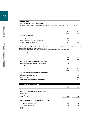#### *Short-term leases and leases of low-value assets*

The Entity has elected not to recognise right-of-use assets and lease liabilities for short-term leases of assets that have a lease term of 12 months or less and leases of low-value assets (less than \$10,000).

|                                                     | 2020<br>\$'000 | 2019<br>\$'000 |
|-----------------------------------------------------|----------------|----------------|
| Note 1.1C: Finance costs                            |                |                |
|                                                     |                |                |
| Finance leases <sup>1</sup>                         |                | 65             |
| Interest on lease liabilities - buildings           | 1,828          |                |
| Interest on lease liabilities – plant and equipment | 55             |                |
| Unwinding of discount - make good                   | 312            | 248            |
| <b>Total finance costs</b>                          | 2,195          | 313            |

1. The Entity has applied AASB 16 using the modified retrospective approach and therefore the comparative information has not been restated and continues to be reported under AASB 117. The above lease disclosures should be read in conjunction with the accompanying notes 1.1B, 3.2A and 3.4A.

| <b>Accounting Policy</b>                              |        |        |
|-------------------------------------------------------|--------|--------|
| All borrowing costs are expensed as incurred.         |        |        |
|                                                       | 2020   | 2019   |
|                                                       | \$'000 | \$'000 |
| Note 1.1D: Impairment loss on financial instruments   |        |        |
| Impairment on financial instruments - doubtful debts  | 22     |        |
| <b>Total impairment loss on financial instruments</b> | 22     |        |
|                                                       |        |        |
|                                                       | 2020   | 2019   |
|                                                       | \$'000 | \$'000 |
| Note 1.1E: Write-down and impairment of other assets  |        |        |
| Impairment of inventories                             | 10     | 9      |
| Impairment of plant and equipment                     | 4      | 72     |
| Impairment on buildings                               |        | 495    |
| Total write-down and impairment of other assets       | 14     | 576    |
|                                                       |        |        |

| <b>1.2 Own-Source Revenue and Gains</b>                 |        |        |
|---------------------------------------------------------|--------|--------|
|                                                         | 2020   | 2019   |
|                                                         | \$'000 | \$'000 |
| <b>Own-Source Revenue</b>                               |        |        |
| Note 1.2A: Revenue from contracts with customers        |        |        |
| Sale of goods                                           |        |        |
| Rendering of services                                   | 2,903  | 4,080  |
| Total revenue from contracts with customers             | 2,904  | 4,081  |
| Disaggregation of revenue from contracts with customers |        |        |
| Court administration services                           | 772    | 887    |
| NZ Aid funded program revenue                           | 1.337  | 2,398  |
| Government related services                             | 794    | 795    |
| Other                                                   |        |        |
| Total                                                   | 2.904  | 4,081  |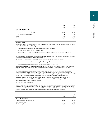| 2020   | 2019   |
|--------|--------|
| \$'000 | \$'000 |
|        |        |
|        |        |
| 43.210 | 42,432 |
| 130    | 125    |
| 267    | 382    |
| 43,607 | 42,939 |
|        |        |

#### **Accounting Policy**

Revenue from the sale of goods is recognised when control has been transferred to the buyer. Revenue is recognised by the Entity under *AASB 15* when the following occurs:

a contract is identified and each party is committed to perform its obligations;

- the rights and payment terms can be identified; and
- it is probable that the Entity will collect the consideration under the contract when goods or services have been provided.

The Entity identifies its performance obligations in each contract and determines when they have been satisfied. Revenue is recognised at the time performance obligations have been met.

The following is a description of the principal activities from which the Entity generates its revenue:

**Court administration services**. Revenue is recognised when the goods or services are provided to the customer.

**Government related services.** Revenue is recognised at the time the service is provided.

**Services provided to the New Zealand Government.** The Entity has defined performance obligations under the contract with New Zealand, with clearly identified milestones identified in the contract. Revenue is recognised when those performance obligations have been reached.

The transaction price is the total amount of consideration to which the Entity expects to be entitled in exchange for transferring promised goods or services to a customer. The consideration promised in a contract with a customer may include fixed amounts, variable amounts or both. The Entity has not been required to apply the practical expedient on AASB 15.121. There is no consideration from contracts with customers that is not included in the transaction price.

Receivables for goods and services, which have 30 day terms, are recognised at the nominal amounts due less any impairment allowance account. Collectability of debts is reviewed at the end of the reporting period. Allowances are made when the collection of the debt is no longer probable.

#### *Resources Received Free of Charge*

Resources received free of charge are recognised as gains when, and only when, a fair value can be reliably determined and the services would have been purchased if they had not been donated. Use of those resources is recognised as an expense. Resources received free of charge have been reclassified from Other Gains to Other Revenue in 2019-20 to more accurately reflect the substance of the transaction. Comparative information has also been updated for consistency.

|                                       | 2020   | 2019   |
|---------------------------------------|--------|--------|
|                                       | \$'000 | \$'000 |
| Note 1.2C: Other Gains                |        |        |
| Liabilities assumed by other agencies | 35,450 | 33,394 |
| Gain on sale of assets                |        | 214    |
| Total other gains                     | 35,451 | 76,165 |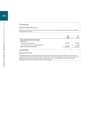| <b>Accounting Policy</b>                                                                                                                                     |         |         |
|--------------------------------------------------------------------------------------------------------------------------------------------------------------|---------|---------|
| Liabilities assumed by other agencies                                                                                                                        |         |         |
| Liabilities assumed by other agencies refers to the notional cost of judicial pensions as calculated by actuaries on behalf of<br>the Department of Finance. |         |         |
|                                                                                                                                                              | 2020    | 2019    |
|                                                                                                                                                              | \$'000  | \$'000  |
| <b>Note 1.2D: Revenue from Government</b>                                                                                                                    |         |         |
| Appropriations                                                                                                                                               |         |         |
| Departmental appropriation                                                                                                                                   | 273.973 | 264,806 |
| Revenue from Government (supplementation)                                                                                                                    |         | 546     |
| <b>Total revenue from Government</b>                                                                                                                         | 273.973 | 265.352 |

**Accounting Policy**

*Revenue from Government*

Amounts appropriated for departmental appropriations for the year (adjusted for any formal additions and reductions) are<br>recognised as Revenue from Government when the entity gains control of the appropriation except for c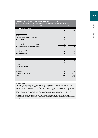#### **Income and Expenses Administered on Behalf of Government**

This section analyses the activities that the Federal Court of Australia does not control but administers on behalf of the Government. Unless otherwise noted, the accounting policies adopted are consistent with those applied for departmental

| reporting.                                            |        |        |
|-------------------------------------------------------|--------|--------|
| 2.1 Administered – Expenses                           |        |        |
|                                                       | 2020   | 2019   |
|                                                       | \$'000 | \$'000 |
| Note 2.1A: Suppliers                                  |        |        |
| <b>Services rendered</b>                              |        |        |
| Supply of primary dispute resolution services         | 726    | 807    |
| <b>Total suppliers</b>                                | 726    | 807    |
|                                                       |        |        |
| Note 2.1B: Impairment loss on financial instruments   |        |        |
| Impairment of financial instruments - doubtful debts  | 3,802  | 3,289  |
| <b>Total impairment loss on financial instruments</b> | 3,802  | 3,289  |
|                                                       |        |        |
| Note 2.1C: Other expenses                             |        |        |
| Refunds of fees                                       | 346    | 918    |
| <b>Total other expenses</b>                           | 346    | 918    |
|                                                       |        |        |

| 2.2 Administered - Income    |         |        |
|------------------------------|---------|--------|
|                              | 2020    | 2019   |
|                              | \$'000  | \$'000 |
| Revenue                      |         |        |
| <b>Non-Taxation Revenue</b>  |         |        |
| Note 2.2A: Fees and Fines    |         |        |
|                              |         |        |
| Hearing Fees                 | 5,664   | 5,941  |
| Filing and Setting Down Fees | 74,849  | 78,260 |
| Fines                        | 38.329  | 4,833  |
| <b>Total fees and fines</b>  | 118,842 | 89,034 |
|                              |         |        |

#### **Accounting Policy**

All administered revenues are revenues relating to the course of ordinary activities performed by the Federal Court of Australia, the Federal Circuit Court and the Family Court of Australia on behalf of the Australian Government. As such administered revenues are not revenues of the Entity. Fees are charged for access to the Entity's services. Administered fee revenue is recognised when the service occurs. The services are performed at the same time as or within two days of the fees becoming due and payable. Revenue from hearing fees is recognised under AASB15 *Revenue from Contracts with customers.* Filing and setting down fee revenue is recognised under AASB1058 *Income of not for profit entities.*

Revenue from fines is recognised when a fine is paid to the Entity on behalf of the Government. Fees and Fines are recognised at their nominal amount due less any impairment allowance. Collectability of debts is reviewed at the end of the reporting period. Impairment allowances are made based on historical rates of default.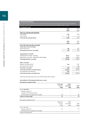| <b>3. Financial Position</b>                                                                                             |         |        |
|--------------------------------------------------------------------------------------------------------------------------|---------|--------|
| This section analyses the Federal Court of Australia assets used to conduct its operations and the operating liabilities |         |        |
| incurred as a result. Employee related information is disclosed in the People and Relationships section.                 |         |        |
| <b>3.1 Financial Assets</b>                                                                                              |         |        |
|                                                                                                                          | 2020    | 2019   |
|                                                                                                                          | \$'000  | \$'000 |
| Note 3.1A: Cash and cash equivalents                                                                                     |         |        |
| Cash at bank                                                                                                             | 1,222   | 1,224  |
| Cash on hand                                                                                                             | 17      | 13     |
| Total cash and cash equivalents                                                                                          | 1,239   | 1,237  |
|                                                                                                                          |         |        |
|                                                                                                                          | 2020    | 2019   |
|                                                                                                                          | \$'000  | \$'000 |
| Note 3.1B: Trade and other receivables                                                                                   |         |        |
| Goods and services receivables                                                                                           |         |        |
| Goods and services                                                                                                       | 105     | 627    |
| Total goods and services receivables                                                                                     | 105     | 627    |
| <b>Appropriations receivable</b>                                                                                         |         |        |
| Appropriation receivable - operating                                                                                     | 92,421  | 72,730 |
| Appropriation receivable - departmental capital budget                                                                   | 22,923  | 14,867 |
| <b>Total appropriations receivable</b>                                                                                   | 115,344 | 87,597 |
| <b>Other receivables</b>                                                                                                 |         |        |
| Statutory receivables (GST)                                                                                              | 966     | 1,782  |
| Revenue from Government                                                                                                  |         | 546    |
| <b>Total other receivables</b>                                                                                           | 966     | 2,328  |
| Total trade and other receivables (gross)                                                                                | 116,415 | 90.552 |
| Less impairment loss allowance                                                                                           | (22)    |        |
| Total trade and other receivables (net)                                                                                  | 116.393 | 90.552 |

Credit terms for goods and services were within 30 days (2019: 30 days).

#### **Reconciliation of the impairment allowance account:**

| <b>Movements in relation to 2020</b> |  |
|--------------------------------------|--|
|--------------------------------------|--|

|                                             | Goods and | Other       |        |
|---------------------------------------------|-----------|-------------|--------|
|                                             | services  | receivables | Total  |
|                                             | \$'000    | \$'000      | \$'000 |
| As at 1 July 2019                           | -         | ۰           |        |
| Amounts written off                         | ۰         | -           |        |
| Amounts recovered and reversed              |           | -           |        |
| Increase/decrease recognised in net surplus | 22        |             | 22     |
| Total as at 30 June 2020                    | 22        |             |        |

Movements in relation to 2019

|                                             | Goods and | Other       |        |
|---------------------------------------------|-----------|-------------|--------|
|                                             | services  | receivables | Total  |
|                                             | \$'000    | \$'000      | \$'000 |
| As at 1 July 2018                           |           |             |        |
| Amounts written off                         | (7)       |             |        |
| Increase/decrease recognised in net surplus |           |             | -      |
| Total as at 30 June 2019                    | -         |             | -      |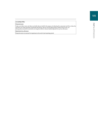#### **Accounting Policy**

*Financial assets*

Trade receivables, loans and other receivables that are held for the purpose of collecting the contractual cash flows where the<br>cash flows are solely payments of principal and interest, that are not provided at below-marke

#### *Impairment loss allowance*

Financial assets are assessed for impairment at the end of each reporting period.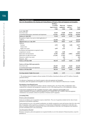| Note 3.2A: Reconciliation of the Opening and Closing Balances of Property, Plant and Equipment and Intangibles |                     |           |                       |           |
|----------------------------------------------------------------------------------------------------------------|---------------------|-----------|-----------------------|-----------|
|                                                                                                                | <b>Buildings -</b>  |           |                       |           |
|                                                                                                                | Leasehold           | Plant and | Computer              |           |
|                                                                                                                | <b>Improvements</b> | equipment | software <sup>1</sup> | Total     |
|                                                                                                                | \$'000              | \$2000    | \$'000                | \$'000    |
| As at 1 July 2019                                                                                              |                     |           |                       |           |
| Gross book value                                                                                               | 46,419              | 25,488    | 30.533                | 102,440   |
| Accumulated depreciation, amortisation and impairment                                                          | (13, 101)           | (10,707)  | (19, 136)             | (42, 944) |
| Total as at 1 July 2019                                                                                        | 33,318              | 14,781    | 11,397                | 59,496    |
| Recognition of right of use asset on initial application of                                                    |                     |           |                       |           |
| AASB <sub>16</sub>                                                                                             | 162,698             | 3,241     |                       | 165,939   |
| Adjusted total as at 1 July 2019                                                                               | 196.016             | 18,022    | 11,397                | 225,435   |
| <b>Additions</b>                                                                                               |                     |           |                       |           |
| Purchase                                                                                                       | 4,725               | 6,856     | 3,496                 | 15,077    |
| Finance lease                                                                                                  |                     | 141       |                       | 141       |
| Right-of-use assets                                                                                            | 1,079               | 1,323     |                       | 2,402     |
| Revaluations and impairments recognised in other                                                               |                     |           |                       |           |
| comprehensive income                                                                                           | 1,836               | 2,188     |                       | 4,024     |
| Depreciation and amortisation                                                                                  | (4, 185)            | (3,606)   | (3,061)               | (10, 852) |
| Depreciation on right-of-use assets                                                                            | (17, 341)           | (1,762)   |                       | (19, 103) |
| Disposals on right-of-use assets                                                                               |                     | (55)      |                       | (55)      |
| Disposals - other                                                                                              |                     | (4)       |                       | (4)       |
| Total as at 30 June 2020                                                                                       | 182,130             | 23,103    | 11,832                | 217,065   |
| Total as at 30 June 2020 represented by                                                                        |                     |           |                       |           |
| Gross book value                                                                                               | 202,699             | 25,430    | 34,029                | 262,158   |
| Accumulated depreciation and impairment                                                                        | (20, 569)           | (2,327)   | (22, 197)             | (45,093)  |
| Total as at 30 June 2020                                                                                       | 182,130             | 23,103    | 11,832                | 217,065   |
| Carrying amount of right-of-use assets                                                                         | 146,436             | 2.747     |                       | 149.183   |

1. The carrying amount of computer software includes \$3.88 million of purchased software and \$7.95 million of internally generated software.

No indicators of impairment were found for property, plant and equipment and intangibles.

No property, plant and equipment and intangibles are expected to be sold or disposed of within the next 12 months.

#### **Revaluations of non-financial assets**

All revaluations were conducted in accordance with the revaluation policy. On 30 June 2020, an independent valuer conducted the revaluations and management conducted a review of the underlying drivers of the independent valuation.

Contractual commitments for the acquisition of property, plant, equipment and intangible assets<br>Capital commitments for property, plant and equipment are \$1.2 million (2019: \$0.13 million). Plant and equipment<br>commitments

#### **Accounting Policy**

#### *Property, plant and equipment*

Assets are recorded at cost on acquisition except as stated below. The cost of acquisition includes the fair value of assets transferred in and liabilities undertaken.

Assets acquired at no cost, or for nominal consideration, are initially recognised as assets and income at their fair value at the date of acquisition, unless acquired as a consequence of restructuring of administrative arrangements. In the latter case, assets are initially recognised as contributions by owners at the amounts at which they were recognised in the transferor's accounts immediately prior to the restructuring.

#### *Asset Recognition Threshold*

Purchases of property, plant and equipment are recognised initially at cost in the statement of financial position, except for purchases of: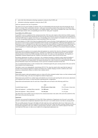assets other than information technology equipment costing less than \$2,000; and

information technology equipment costing less than \$1,500.

which are expensed in the year of acquisition.

The initial cost of an asset includes an estimate of the cost of dismantling and removing the item and restoring the site on which it is located. This is particularly relevant to 'make good' provisions in property leases taken up by the Entity where there exists an obligation to restore the property to its original condition. These costs are included in the value of the Entity's leasehold improvements with a corresponding provision for the 'make good' recognised.

#### *Lease Right of Use (ROU) Assets*

Leased ROU assets are capitalised at the commencement date of the lease and comprise of the initial lease liability amount, initial direct costs incurred when entering into the lease less any lease incentives received. These assets are accounted for by Commonwealth lessees as separate asset classes to corresponding assets owned outright, but included in the same column as where the corresponding underlying assets would be presented if they were owned.

On initial adoption of AASB 16 the Entity has adjusted the ROU assets at the date of initial application by the amount of any provision for onerous leases recognised immediately before the date of initial application. Following initial application, an impairment review is undertaken for any right of use lease asset that shows indicators of impairment and an impairment loss is recognised against any right of use lease asset that is impaired. Lease ROU assets continue to be measured at cost after initial recognition in Commonwealth agency, General Government Services and Whole of Government financial statements.

#### *Revaluations*

Following initial recognition at cost, property plant and equipment are carried at fair value less subsequent accumulated depreciation and accumulated impairment losses. Valuations are conducted with sufficient frequency to ensure that the carrying amounts of assets do not differ materially from the assets' fair values as at the reporting date. The regularity of independent valuations depends upon the volatility of movements in market values for the relevant assets.

Revaluation adjustments are made on a class basis. Any revaluation increment is credited to equity under the heading of asset revaluation reserve except to the extent that it reverses a previous revaluation decrement of the same asset class previously recognised in the surplus/deficit. Revaluation decrements for a class of assets are recognised directly through the Income Statement except to the extent that they reverse a previous revaluation increment for that class.

Any accumulated depreciation as at the revaluation date is eliminated against the gross carrying amount of the asset and the asset restated to the revalued amount.

The Entity's assets were independently valued during 2019-20. The valuer has stated in their report that the impact of COVID-19 has introduced significant valuation uncertainty due to rapidly changing economic conditions and a noted reduction in transactional evidence on which to base valuation advice.

#### *Depreciation*

Depreciable property, plant and equipment assets are written-off to their estimated residual values over their estimated useful lives to the Entity using, in all cases, the straight-line method of depreciation.

Depreciation rates (useful lives), residual values and methods are reviewed at each reporting date and necessary adjustments are recognised in the current, or current and future reporting periods, as appropriate.

Depreciation and amortisation rates for each class of depreciable asset are based on the following useful lives:

|                                                   | 2020                         | 2019                         |
|---------------------------------------------------|------------------------------|------------------------------|
| Leasehold improvements                            | 10 to 20 years or lease term | 10 to 20 years or lease term |
| Plant and equipment – excluding library materials | 3 to 100 years               | 3 to 100 years               |
| Plant and equipment – library materials           | 5 to 10 years                | 5 to 10 years                |

The depreciation rates for ROU assets are based on the commencement date to the earlier of the end of the useful life of the ROU asset or the end of the lease term.

#### *Impairment*

All assets were assessed for impairment at 30 June 2020. Where indications of impairment exist, the asset's recoverable amount is estimated and an impairment adjustment made if the asset's recoverable amount is less than its carrying amount.

The recoverable amount of an asset is the higher of its fair value less costs to sell and its value in use. Value in use is the present value of the future cash flows expected to be derived from the asset. Where the future economic benefit of an asset is not primarily dependent on the asset's ability to generate future cash flows, and the asset would be replaced if the Entity were deprived of the asset, its value in use is taken to be its depreciated replacement cost.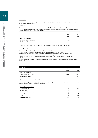#### *Derecognition*

An item of property, plant and equipment is derecognised upon disposal or when no further future economic benefits are expected from its use or disposal.

#### *Intangibles*

The Entity's intangibles comprise externally and internally developed software for internal use. These assets are carried at cost less accumulated amortisation and accumulated impairment losses. Software is amortised on a straight-line basis over its anticipated useful life of 5 years (2019: 5 years).

| 2020   | 2019   |
|--------|--------|
| \$'000 | \$'000 |
|        |        |
| 36     | 39     |
| 36     | 39     |
|        |        |

During 2019-20, \$9,989 of inventory held for distribution was recognised as an expense (2019: \$9,141).

#### **Accounting Policy**

Inventories held for sale are valued at the lower of cost and net realisable value.

Inventories held for distribution are valued at cost, adjusted for any loss of service potential.

Costs incurred in bringing each item of inventory to its present location and condition are assigned as follows: a) raw materials and stores - purchase cost on a first-in-first-out basis; and

b) finished goods and work in progress - cost of direct materials and labour plus attributable costs that can be allocated on a reasonable basis.

Inventories acquired at no cost or nominal consideration are initially measured at current replacement cost at the date of acquisition.

|  | ı |
|--|---|
|  |   |

| 3. Pavables                                 |        |        |
|---------------------------------------------|--------|--------|
|                                             | 2020   | 2019   |
|                                             | \$'000 | \$'000 |
| Note 3.3A: Suppliers                        |        |        |
| Trade creditors and accruals                | 4,681  | 6,618  |
| Operating lease rentals <sup>1</sup>        |        | 1,293  |
| <b>Total suppliers</b>                      | 4,681  | 7,911  |
| Settlement was usually made within 30 days. |        |        |

1. The Entity has applied AASB 16 using the modified retrospective approach and therefore the comparative information has not been restated and continues to be reported under AASB 117.

| 681   |
|-------|
| 115   |
| 651   |
| 83    |
| 907   |
| 2,437 |
|       |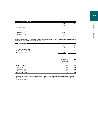| <b>3.4 Interest Bearing Liabilities</b> |         |        |
|-----------------------------------------|---------|--------|
|                                         | 2020    | 2019   |
|                                         | \$'000  | \$'000 |
| Note 3.4A: Leases                       |         |        |
| Finance leases <sup>1</sup>             | -       | 2,574  |
| Lease Liabilities                       |         |        |
| <b>Buildings</b>                        | 147,960 |        |
| Plant and equipment                     | 3,059   | -      |
| <b>Total leases</b>                     | 151,019 | 2,574  |

1. The Entity has applied AASB 16 using the modified retrospective approach and therefore the comparative information has not been restated and continues to be reported under AASB 117.

| <b>3.5 Other Provisions</b>           |        |        |
|---------------------------------------|--------|--------|
|                                       | 2020   | 2019   |
|                                       | \$'000 | \$'000 |
| Note 3.5A: Other provisions           |        |        |
| Provision for restoration obligations | 4,780  | 4,065  |
| <b>Total other provisions</b>         | 4,780  | 4,065  |

|                                                   | <b>Provision for</b><br>restoration | Total  |
|---------------------------------------------------|-------------------------------------|--------|
|                                                   | \$'000                              | \$'000 |
| As at 1 July 2019                                 | 4,065                               | 4,065  |
| New provision                                     | 486                                 | 486    |
| Amounts adjusted                                  | (83)                                | (83)   |
| Unwindings of discount or change in discount rate | 312                                 | 312    |
| Total as at 30 June 2020                          | 4,780                               | 4,780  |

The Entity currently has 16 agreements for the leasing of premises which have provisions requiring the Entity to restore the premises to their original condition at the conclusion of the lease. The Entity has made a provision to reflect the present value of this obligation.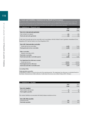|  | . Assets and Liabilities Administered on Behalf of Government |  |
|--|---------------------------------------------------------------|--|
|  |                                                               |  |

This section analyses assets used to generate financial performance and the operating liabilities incurred as a result. The Federal Court of Australia does not control but administers these assets on behalf of the Government. Unless otherwise noted, the accounting policies adopted are consistent with those applied for departmental reporting.

| .1 Administered – Financial Assets   |        |        |
|--------------------------------------|--------|--------|
|                                      | 2020   | 2019   |
|                                      | \$'000 | \$'000 |
| Note 4.1A: Cash and cash equivalents |        |        |
| Cash on hand or on deposit           | 103    | 142    |
| Total cash and cash equivalents      | 103    | 142    |

Credit terms for goods and services receivable were in accordance with the Federal Courts Legislation Amendment (Fees) Regulation 2015 and the Family Law (Fees) Regulation 2012.

| Note 4.1B: Trade and other receivables                                                                                                                                                                                                                                         |         |         |
|--------------------------------------------------------------------------------------------------------------------------------------------------------------------------------------------------------------------------------------------------------------------------------|---------|---------|
| Goods and services receivables                                                                                                                                                                                                                                                 | 6,190   | 7,434   |
| Total goods and services receivables                                                                                                                                                                                                                                           | 6,190   | 7,434   |
| <b>Other receivables</b>                                                                                                                                                                                                                                                       |         |         |
| Statutory receivable (GST)                                                                                                                                                                                                                                                     | 10      |         |
| <b>Total other receivables</b>                                                                                                                                                                                                                                                 | 10      | 7       |
| Total trade and other receivables (gross)                                                                                                                                                                                                                                      | 6.200   | 7,441   |
| Less impairment loss allowance account:                                                                                                                                                                                                                                        |         |         |
| Goods and services                                                                                                                                                                                                                                                             | (5,161) | (5,191) |
| <b>Total impairment loss allowance</b>                                                                                                                                                                                                                                         | (5,161) | (5,191) |
| Total trade and other receivables (net)                                                                                                                                                                                                                                        | 1,039   | 2,250   |
| <b>Accounting Policy</b>                                                                                                                                                                                                                                                       |         |         |
| Trade and other receivables<br>Collectability of debts is reviewed at the end of the reporting period. The impairment loss allowance is calculated based on<br>the Entity's historical rate of debt collection. Credit terms for services were within 30 days (2019: 30 days). |         |         |

| 4.2 Administered - Pavables                                                      |        |        |
|----------------------------------------------------------------------------------|--------|--------|
|                                                                                  | 2020   | 2019   |
|                                                                                  | \$'000 | \$'000 |
| Note 4.2A: Suppliers                                                             |        |        |
| Trade creditors and accruals                                                     | 31     | 89     |
| <b>Total supplier payables</b>                                                   | 31     | 89     |
| The contract liabilities are associated with family dispute resolution services. |        |        |
| Note 4.2B: Other payables                                                        |        |        |
| Unearned income                                                                  | 543    | 610    |
| <b>Total other payables</b>                                                      | 543    | 610    |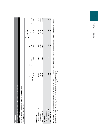| í                                                                                                                                     |
|---------------------------------------------------------------------------------------------------------------------------------------|
| <b>SULLIN</b><br>his sec.                                                                                                             |
| $\overline{\phantom{a}}$                                                                                                              |
| دامننام محمدا<br>$10^{10}$ CSC.<br><b>Annunna</b><br>ì<br>monumentations (ID.<br>.<br>.<br>.<br>Jote 5.1 A + A mmal<br>.<br>بالا بالا |

**Note 5.1A: Annual Appropriations ('Recoverable GST exclusive')** Note 5.1A: Annual Appropriations ('Reco

| Š |  |
|---|--|
| i |  |
|   |  |
|   |  |
| i |  |
|   |  |
|   |  |
|   |  |
|   |  |
|   |  |
|   |  |
|   |  |
|   |  |
|   |  |
|   |  |
|   |  |
|   |  |
|   |  |
|   |  |
|   |  |
|   |  |
|   |  |
|   |  |
|   |  |
|   |  |
|   |  |

**Appropriation** 

Appropriation

|                                      | Variance <sup>3</sup>                         | 000.5 |              |                          | 18,330<br>8,055<br>26,385    |                           |             |                          | 97                 | 07                        |  |
|--------------------------------------|-----------------------------------------------|-------|--------------|--------------------------|------------------------------|---------------------------|-------------|--------------------------|--------------------|---------------------------|--|
| applied in 2020<br>current and prior | years)<br>\$'000                              |       |              |                          | 259,623<br>15,926<br>275,549 |                           |             |                          | 784                | 784                       |  |
| Total                                | appropriation<br>S'000                        |       |              |                          | 277,953<br>23,981            | 301,934                   |             |                          | 881                | 881                       |  |
|                                      | Adjustments to<br>Appropriation <sup>2</sup>  | 000.5 |              | 3,434                    |                              | 3,434                     |             |                          |                    | I                         |  |
|                                      | Annual<br>Appropriation <sup>1</sup><br>S'000 |       |              | 274,519                  | 23,981                       | 298,500                   |             |                          | 881                | 881                       |  |
|                                      |                                               |       | Departmental | Ordinary annual services | Capital Budget               | <b>Total departmental</b> | dministered | Ordinary annual services | Administered items | <b>Total administered</b> |  |

1. Departmental Capital Budgets are appropriated through Appropriation Acts (No. 1, 3). They form part of ordinary annual services, and are not separately identified in the Appropriation Acts.<br>2. Adjustments to appropriat 1. Departmental Capital Budgets are appropriated through Appropriation Acts (No. 1, 3). They form part of ordinary annual services, and are not separately identified in the Appropriation Acts. 2. Adjustments to appropriation have included receipts collected under Section 74 of the *PGPA Act.*

3. The variance in the expenditure for ordinary annual services is due to timing differences of payments.

**PART 6 APPENDICES** Appendices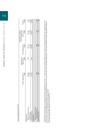## Annual Appropriations for 2019 Annual Appropriations for 2019

| Appropriation applied<br>in 2019 (current and | Variance <sup>2</sup><br>prior years)<br>Total appropriation | $000\$<br>$000\frac{1}{3}$<br><b>8'000</b> |                     |                          | 7,404<br>3,526<br>0,930<br>262,108<br>8,769<br>270,877<br>269,512<br>12,295 | 281,807                   |             |                          | 162<br>718<br>880  | 162<br>718<br>880  |
|-----------------------------------------------|--------------------------------------------------------------|--------------------------------------------|---------------------|--------------------------|-----------------------------------------------------------------------------|---------------------------|-------------|--------------------------|--------------------|--------------------|
|                                               | Adjustments to<br>Appropriation                              | \$'000                                     |                     | 4,706                    |                                                                             | 4,706                     |             |                          |                    |                    |
|                                               | Annual Appropriation <sup>1</sup>                            | \$000                                      |                     | 264,806<br>12,295        |                                                                             | 277,101                   |             |                          | 880                | 880                |
|                                               |                                                              |                                            | <b>Jepartmental</b> | Ordinary annual services | Capital Budget                                                              | <b>Total</b> departmental | dministered | Ordinary annual services | Administered items | Total administered |

1. Departmental Capital Budgets are appropriated through Appropriation Acts (No. 1, 3). They form part of ordinary annual services, and are not separately identified in the Appropriation Acts.<br>2. The Court has received ap 1. Departmental Capital Budgets are appropriated through Appropriation Acts (No. 1, 3). They form part of ordinary annual services, and are not separately identified in the Appropriation Acts. 2. The Court has received appropriation related to new Government measures. These measures have not yet been fully implemented. The Court has therefore not spent appropriation related to these measures, causing an underspend of annual appropriation.

3. Receipts collected under Section 74 of the *PGPA Act.*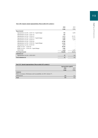#### **Note 5.1B: Unspent Annual Appropriations ('Recoverable GST exclusive')**

|                                                    | 2020    | 2019   |
|----------------------------------------------------|---------|--------|
|                                                    | \$'000  | \$'000 |
| Departmental                                       |         |        |
| Appropriation Act (No. 1) 2017-18 - Capital budget | 262     | 2,654  |
| Appropriation Act (No. 1) 2017-18                  | 461     |        |
| Appropriation Act (No. 1) 2018-19                  | 4,372   | 65,151 |
| Appropriation Act (No. 1) 2018-19 - Capital budget | 9,500   | 12,214 |
| Appropriation Act (No. 3) 2018-19                  | 3,055   | 7,579  |
| Appropriation Act (No. 1) 2019-20                  | 51,405  |        |
| Appropriation Act (No. 1) 2019-20 - Capital Budget | 11,555  |        |
| Appropriation Act (No. 3) 2019-20                  | 2,670   |        |
| Supply Act (No. 1) 2019-20                         | 30,459  |        |
| Supply Act (No. 1) 2019-20 - Capital Budget        | 1,605   |        |
| Cash at bank                                       | 1,239   | 1,237  |
| <b>Total departmental</b>                          | 116,583 | 88,834 |
| Administered                                       |         |        |
| Appropriation Act (No 1) 2018-2019                 | 97      | 162    |
| <b>Total administered</b>                          | 97      | 162    |

| Note 5.1C: Special Appropriations ('Recoverable GST exclusive')         |                              |        |
|-------------------------------------------------------------------------|------------------------------|--------|
|                                                                         | <b>Appropriation applied</b> |        |
|                                                                         | 2020                         | 2019   |
|                                                                         | \$'000                       | \$'000 |
| <b>Authority</b>                                                        |                              |        |
| Public Governance, Performance and Accountability Act 2013, Section 77, |                              |        |
| Administered                                                            | 353                          | 923    |
| Total                                                                   | 353                          | 923    |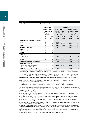#### **Special Accounts**

**Note 5.2A: Special Accounts ('Recoverable GST exclusive')**

|                                              | Departmental                                    |                          | <b>Administered</b>                                   |        |                                                                                          |        |  |
|----------------------------------------------|-------------------------------------------------|--------------------------|-------------------------------------------------------|--------|------------------------------------------------------------------------------------------|--------|--|
|                                              | <b>Services for other</b><br>entities and Trust |                          | <b>Federal Court Of</b><br><b>Australia Litigants</b> |        | <b>Family Court and</b><br><b>Federal Circuit Court</b><br><b>Litigants Fund Special</b> |        |  |
|                                              | <b>Moneys Special</b>                           |                          | <b>Fund Special</b>                                   |        |                                                                                          |        |  |
|                                              | Account <sup>1</sup>                            |                          | Accoun <sup>2</sup>                                   |        | Account <sup>3</sup>                                                                     |        |  |
|                                              | 2020                                            | 2019                     | 2020                                                  | 2019   | 2020                                                                                     | 2019   |  |
|                                              | \$'000                                          | \$'000                   | \$'000                                                | \$'000 | \$'000                                                                                   | \$'000 |  |
| <b>Balance brought forward from previous</b> |                                                 |                          |                                                       |        |                                                                                          |        |  |
| period                                       | 244                                             | 22                       | 38,725                                                | 22,225 | 744                                                                                      | 1,074  |  |
| <b>Increases</b>                             | 127                                             | 374                      | 19,102                                                | 29.592 | 3.161                                                                                    | 837    |  |
| <b>Total increases</b>                       | 127                                             | 374                      | 19.102                                                | 29,592 | 3.161                                                                                    | 837    |  |
| <b>Available for payments</b>                | 371                                             | 396                      | 57,827                                                | 51,817 | 3,905                                                                                    | 1,911  |  |
| <b>Decreases</b>                             |                                                 |                          |                                                       |        |                                                                                          |        |  |
| Departmental                                 | 363                                             | 152                      |                                                       |        |                                                                                          |        |  |
| <b>Total departmental</b>                    | 363                                             | 152                      |                                                       |        |                                                                                          |        |  |
| <b>Decreases</b>                             |                                                 |                          |                                                       |        |                                                                                          |        |  |
| Administered                                 | $\overline{\phantom{a}}$                        | $\overline{\phantom{a}}$ | 25,412                                                | 13,092 | 959                                                                                      | 1,167  |  |
| <b>Total administered</b>                    | $\overline{\phantom{0}}$                        | L,                       | 25,412                                                | 13.092 | 959                                                                                      | 1,167  |  |
| <b>Total decreases</b>                       | 363                                             | 152                      | 25,412                                                | 13,092 | 959                                                                                      | 1,167  |  |
| Total balance carried to the next period     | 8                                               | 244                      | 32,415                                                | 38,725 | 2,946                                                                                    | 744    |  |
| <b>Balance represented by:</b>               |                                                 |                          |                                                       |        |                                                                                          |        |  |
| Cash held in entity bank accounts            | 8                                               | 244                      | 32.415                                                | 38,725 | 2.946                                                                                    | 744    |  |
| Cash held in the Official Public Account     | -                                               |                          |                                                       |        |                                                                                          |        |  |
| Total halance carried to the next neriod     | $\mathbf{Q}$                                    | 244                      | 32.415                                                | 38 725 | 2.946                                                                                    | 744    |  |

Total balance carried to the next period 8 244 32,415 38,725 2,946 744<br>1. Appropriation: *Public Governance Performance and Accountability Act* section 78. Establishing Instrument: *FMA Determination 2012/11.* Purpose: To disburse amounts held in trust or otherwise for the benefit of a person other than the Commonwealth.

2. Appropriation: *Public Governance Performance and Accountability Act* section 78. Establishing Instrument: *PGPA Act Determination (Establishment of FCA Litigants' Fund Special Account 2017*). Purpose: The purpose of the Federal Court of Australia Litigants' Fund Special Account in relation to which amounts may be debited from the Special Account are: a) In accordance with:

(i) An order of the Federal Court of Australia or a Judge of that Court under Rule 2.43 of the Federal Court Rules; or (ii) A direction of a Registrar under that Order; and

b) In any other case in accordance with the order of the Federal Court of Australia or a Judge of that Court. 3. Appropriation: *Public Governance Performance and Accountability Act* section 78. Establishing Instrument: Determination 2013/06.

The Finance Minister has issued a determination under Subsection 20(1) of the FMA ACT 1997 (repealed) establishing the Federal Court of Australia Litigants' Fund Special Account when the Federal Circuit Court of Australia and Family Court of Australia merged on 1 July 2014.

Purpose: Litigants Fund Special Account

(a) for amounts received in respect of proceedings of the Family Court of Australia or the Federal Circuit Court of Australia (formerly the Federal Magistrates Court of Australia);

(b) for amounts received in respect of proceedings that have been transferred from another court to the Family Court of Australia or to the Federal Circuit Court of Australia (formerly the Federal Magistrates Court of Australia); (c) for amounts received from the Family Court of Australia Litigants' Fund Special Account or the Federal Magistrates

Court Litigants' Fund Special Account;

(d) to make payments in accordance with an order (however described) made by a court under the Family Law Act 1975, the Family Court of Australia, or a Judge of that Court;

(e) to make payments in accordance with an order (however described) made by a court under the Federal Circuit Court of Australia Act 1999 (formerly the Federal Magistrates Act 1999), the Federal Circuit Court of Australia (formerly the Federal Magistrates Court of Australia), or a Judge (formerly Federal Magistrate) of that Court;

(f) to repay amounts received by the Commonwealth and credited to this Special Account where an Act of Parliament or other law requires or permits the amount to be repaid; and

g) to reduce the balance of this Special Account without making a real or notional payment.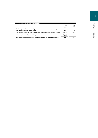| 5.3 Net Cash Appropriation Arrangements                                                  |           |          |
|------------------------------------------------------------------------------------------|-----------|----------|
|                                                                                          | 2020      | 2019     |
|                                                                                          | \$'000    | \$'000   |
| Total comprehensive income less depreciation/amortisation expenses previously            |           |          |
| funded through revenue appropriations                                                    | 19.434    | 4.651    |
| Plus: depreciation/amortisation expenses previously funded through revenue appropriation | (10, 852) | (13,882) |
| Plus: depreciation of right-of-use assets                                                | (19,103)  |          |
| Less: principal repayments - leased assets                                               | 17,082    |          |
| Total comprehensive income/(loss) - as per the Statement of Comprehensive Income         | 6,561     | (9,231)  |

Appendices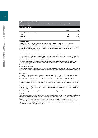| <b>6. People and Relationships</b>                                                                                     |        |        |
|------------------------------------------------------------------------------------------------------------------------|--------|--------|
| This section describes a range of employment and post-employment benefits provided to our people and our relationships |        |        |
| with other key people.                                                                                                 |        |        |
| <b>6.1 Employee Provisions</b>                                                                                         |        |        |
|                                                                                                                        | 2020   | 2019   |
|                                                                                                                        | \$'000 | \$'000 |
| <b>Note 6.1A: Employee Provisions</b>                                                                                  |        |        |
| Leave                                                                                                                  | 31,280 | 29,541 |
| Judges leave                                                                                                           | 35,623 | 32.849 |
| <b>Total employee provisions</b>                                                                                       | 66.903 | 62.390 |
|                                                                                                                        |        |        |

#### **Accounting Policy**

Liabilities for 'short-term employee benefits' (as defined in AASB 119 *Employee Benefits*) and termination benefits expected within twelve months of the end of the reporting period are measured at their nominal amounts.

Other long-term judge and employee benefits are measured as net total of the present value of the defined benefit obligation at the end of the reporting period minus the fair value at the end of the reporting period of plan assets (if any) out of which the obligations are to be settled directly.

#### *Leave*

The liability for employee benefits includes provision for annual leave and long service leave.

The leave liabilities are calculated on the basis of employees' remuneration at the estimated salary rates that will be applied at the time the leave is taken, including the Entity's employer superannuation contribution rates to the extent that the leave is likely to be taken during service rather than paid out on termination.

The liability for annual leave and long service leave has been determined by reference to the work of an actuary as at 30 June 2020. The estimate of the present value of the liability takes into account attrition rates and pay increases through promotion and inflation.

#### *Separation and redundancy*

Provision is made for separation and redundancy benefit payments. The Entity recognises a provision for termination when it has developed a detailed formal plan for the terminations and has informed those employees affected that it will carry out the terminations.

#### *Superannuation*

The Entity's staff are members of the Commonwealth Superannuation Scheme (CSS), the Public Sector Superannuation Scheme (PSS) or the PSS accumulation plan (PSSap), or other superannuation funds held outside the Australian government.

The CSS and PSS are defined benefit schemes for the Australian Government. The PSSap is a defined contribution scheme.

The liability for defined benefits is recognised in the financial statements of the Australian Government and is settled by the Australian Government in due course. This liability is reported in the Department of Finance's administered schedules and notes.

The Entity makes employer contributions to the employees' superannuation scheme at rates determined by an actuary to be sufficient to meet the current cost to the Government. The Entity accounts for the contributions as if they were contributions to defined contribution plans.

The liability for superannuation recognised as at 30 June represents outstanding contributions.

#### *Judges' pension*

Under the *Judges' Pension Act 1968*, Federal Court and Family Court Judges are entitled to a non-contributory pension upon retirement after at least 10 years service (Federal Court and Family Court Judges). As the liability for these pension payments is assumed by the Australian Government, the entity has not recognised a liability for unfunded superannuation liability. The Federal Court of Australia does, however, recognise a revenue and corresponding expense item, "Liabilities assumed by other agencies", in respect of the notional amount of the employer contributions to Judges' pensions for the reporting period amounting to \$35.45 million (2019: \$33.394 million). The contribution rate has been provided by the Department of Finance following an actuarial review.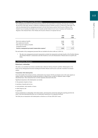#### **Key Management Personnel Remuneration**

Key management personnel are those persons having authority and responsibility for planning, directing and controlling the activities of the entity, directly or indirectly, including any director (whether executive or otherwise) of that entity. The entity has determined the key management personnel to be the Chief Justices and the Chief Executive Officers of the Federal Court of Australia, the Family Court of Australia and the Federal Circuit Court of Australia, the President and Registrar of the National Native Title Tribunal, the Executive Director of Corporate Services.

|                                                                   | 2020<br>\$'000           | 2019<br>\$'000 |
|-------------------------------------------------------------------|--------------------------|----------------|
| Short-term employee benefits                                      | 3,131                    | 2,905          |
| Post-employment benefits                                          | 1,127                    | 1,300          |
| Other long-term employee benefits                                 | 156                      | 165            |
| Termination benefits                                              | $\overline{\phantom{0}}$ |                |
| Total key management personnel remuneration expenses <sup>1</sup> | 4.414                    | 4,370          |

The total number of key management personnel that are included in the above table are 9 (2019: 8).

1. The above key management personnel remuneration excludes the remuneration and other benefits of the Portfolio Minister. The Portfolio Minister's remuneration and other benefits are set by the Remuneration Tribunal and are not paid by the Entity.

#### **Related Party Disclosures**

#### **Related party relationships:**

The entity is an Australian Government controlled entity within the Attorney-General's portfolio. Related parties to the Entity are Key Management Personnel including the Portfolio Minister and Executive and other Australian Government entities.

#### **Transactions with related parties:**

Given the breadth of Government activities, related parties may transact with the government sector in the same capacity as ordinary citizens. Such transactions include the payment or refund of taxes, receipt of a Medicare rebate or higher educational loans. These transactions have not been separately disclosed in this note.

Significant transactions with related parties can include:

- the payments of grants or loans;
- purchases of goods and services;
- asset purchases, sales transfers or leases;
- debts forgiven; and
- guarantees.

Giving consideration to relationships with related entities, and transactions entered into during the reporting period by the entity, it has been determined that there are no related party transactions to be separately disclosed.

The Entity has no transactions with related parties to disclose as at 30 June 2020 (2019: none).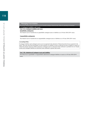#### **Managing Uncertainties**

This section analyses how the Federal Court of Australia manages financial risks within its operating environment.

**Contingent Liabilities and Assets**

**Note 7.1A: Contingent Liabilities and Assets**

**Quantifiable contingencies** 

The Federal Court of Australia has no quantifiable contingent assets or liabilities as at 30 June 2020 (2019: none).

#### **Unquantifiable contingencies**

The Federal Court of Australia has no unquantifiable contingent assets or liabilities as at 30 June 2020 (2019: none).

#### **Accounting Policy**

Contingent liabilities and contingent assets are not recognised in the statement of financial position but are reported in the notes. They may arise from uncertainty as to the existence of a liability or asset or represent an asset or liability in respect of which the amount cannot be reliably measured. Contingent assets are disclosed when settlement is probable but not virtually certain and contingent liabilities are disclosed when settlement is greater than remote.

#### **Note 7.1B: Administered Contingent Assets and Liabilities**

The Entity has no quantifiable or unquantifiable administered contingent liabilities or assets as at 30 June 2020 (2019: none).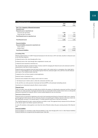| 7.2 Financial Instruments                        |        |        |
|--------------------------------------------------|--------|--------|
|                                                  | 2020   | 2019   |
|                                                  | \$'000 | \$'000 |
| Note 7.2A: Categories of financial instruments   |        |        |
| <b>Financial assets</b>                          |        |        |
| <b>Financial assets at amortised cost</b>        |        |        |
| Cash and cash equivalents                        | 1,239  | 1,237  |
| Trade and other receivables                      | 83     | 627    |
| Total financial assets at amortised cost         | 1,322  | 1,864  |
| <b>Total financial assets</b>                    | 1,322  | 1,864  |
| <b>Financial liabilities</b>                     |        |        |
| Financial liabilities measured at amortised cost |        |        |
| Trade creditors                                  | 4,681  | 7,911  |
| Finance leases                                   |        | 2,574  |
| <b>Total financial liabilities</b>               | 4,681  | 10,485 |
|                                                  |        |        |

#### **Accounting Policy**

With the implementation of AASB 9 Financial Instruments for the first time in 2019, the Entity classifies its financial assets in the following categories:

a) financial assets at fair value through profit or loss;

b) financial assets at fair value through other comprehensive income; and

c) financial assets measured at amortised cost.

The classification depends on both the Entity's business model for managing the financial assets and contractual cash flow characteristics at the time of initial recognition.

Financial assets are recognised when the Entity becomes a party to the contract and, as a consequence, has a legal right to receive or a legal obligation to pay cash and derecognised when the contractual rights to the cash flows from the financial asset expire or are transferred upon trade date.

Comparatives have not been restated on initial application.

Financial Assets at Amortised Cost

Financial assets included in this category need to meet two criteria:

1. the financial asset is held in order to collect the contractual cash flows; and

2. the cash flows are solely payments of principal and interest(SPPI) on the principal outstanding amount.

Amortised cost is determined using the effective interest method.

#### *Financial Assets*

Trade receivables, loans and other receivables that are held for the purpose of collecting the contractual cash flows where the<br>cash flows are solely payments of principal and interest that are not provided at below-market measured at amortised cost using the effective interest method adjusted for any loss allowance.

#### *Impairment of financial assets*

Financial assets are assessed for impairment at the end of each reporting period based on Expected Credit Losses, using the general approach which measures the loss allowance based on an amount equal to lifetime expected credit losses where risk has significantly increased, or an amount equal to 12‐month expected credit losses if risk has not increased.

The simplified approach for trade, contract and lease receivables is used. This approach always measures the loss allowance as the amount equal to the lifetime expected credit losses.

A write-off constitutes a derecognition event where the write-off directly reduces the gross carrying amount of the financial asset.

#### *Financial Liabilities*

Financial liabilities are classified as either financial liabilities 'at fair value through profit or loss' or other financial liabilities. Financial liabilities are recognised and derecognised upon 'trade date'.

PART 6 APPENDICES Appendices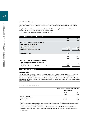#### *Other Financial Liabilities*

Other financial liabilities are initially measured at fair value, net of transaction costs. These liabilities are subsequently measured at amortised cost using the effective interest method, with interest expense recognised on an effective interest basis.

Supplier and other payables are recognised at amortised cost. Liabilities are recognised to the extent that the goods or services have been received (and irrespective of having been invoiced).

The fair value of financial instruments approximates its carrying value.

| 7.3 Administered - Financial Instruments                               |        |        |
|------------------------------------------------------------------------|--------|--------|
|                                                                        | 2020   | 2019   |
|                                                                        | \$'000 | \$'000 |
| Note 7.3A: Categories of financial instruments                         |        |        |
| <b>Financial assets at amortised cost</b>                              |        |        |
| Cash and cash equivalents                                              | 103    | 142    |
| Trade and other receivables                                            | 1,039  | 2,250  |
| Total financial assets at amortised cost                               | 1,142  | 2,392  |
|                                                                        |        |        |
| <b>Total financial assets</b>                                          | 1,142  | 2,392  |
|                                                                        |        |        |
|                                                                        | 2020   | 2019   |
|                                                                        | \$'000 | \$'000 |
| Note 7.3B: Net gains or losses on financial liabilities                |        |        |
| Financial liabilities measured at amortised cost                       |        |        |
| Interest expense                                                       | 1.883  | 65     |
| Net gains/(losses) on financial liabilities measured at amortised cost | 1.883  | 65     |
|                                                                        |        |        |

#### **Fair Value Measurement**

#### **Accounting Policy**

AASB 2015-7 provides relief for not-for –profit public sector entities from making certain specified disclosures about the fair value measurement of assets measured at fair value and categorised within Level 3 of the fair value hierarchy.

Valuations are performed regularly so as to ensure that the carrying amount does not materially differ from fair value at the<br>reporting date. A valuation was made by an external valuer in 2020. The Federal Court of Austral by the valuer annually.

#### **Note 7.4A: Fair Value Measurement**

|                             | Fair value measurements at the end of the<br>reporting period |        |
|-----------------------------|---------------------------------------------------------------|--------|
|                             | 2020                                                          | 2019   |
|                             | \$'000                                                        | \$'000 |
| <b>Non-financial assets</b> |                                                               |        |
| Leasehold improvements      | 35,693                                                        | 33,318 |
| Plant and equipment         | 20,014                                                        | 14,781 |

The Entity's assets are held for operational purposes and not held for the purposes of deriving a profit. The current use of these assets is considered to be the highest and best use.

There have been no transfers between the levels of the hierarchy during the year. The Entity deems transfers between levels of the fair value hierarchy to have occurred when advised by an independent valuer or a change in the market for particular items.